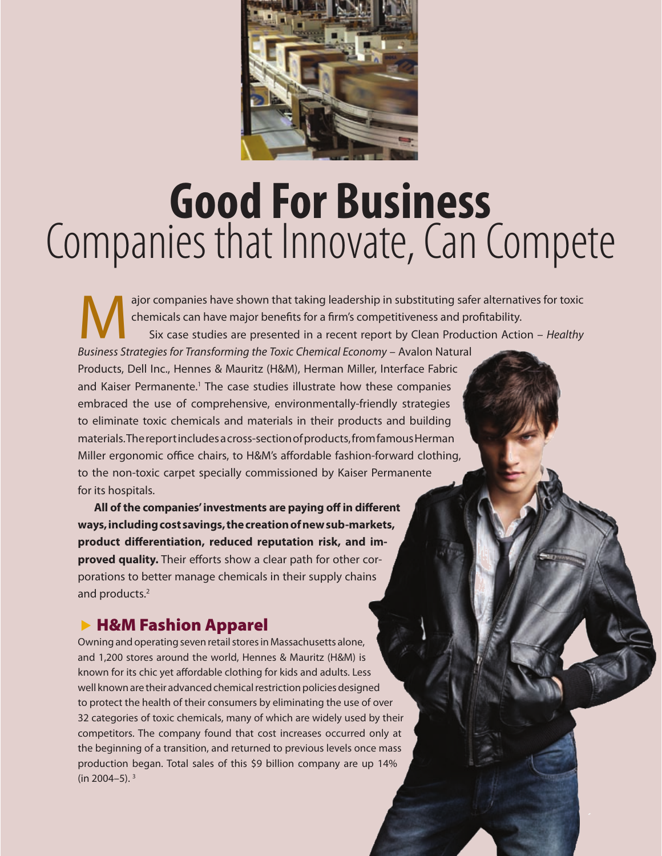

# **Good For Business** Companies that Innovate, Can Compete

ajor companies have shown that taking leadership in substituting safer alternatives for toxic chemicals can have major benefits for a firm's competitiveness and profitability. Six case studies are presented in a recent report by Clean Production Action – *Healthy Business Strategies for Transforming the Toxic Chemical Economy* – Avalon Natural Products, Dell Inc., Hennes & Mauritz (H&M), Herman Miller, Interface Fabric and Kaiser Permanente.<sup>1</sup> The case studies illustrate how these companies embraced the use of comprehensive, environmentally-friendly strategies to eliminate toxic chemicals and materials in their products and building materials. The report includes a cross-section of products, from famous Herman Miller ergonomic office chairs, to H&M's affordable fashion-forward clothing, to the non-toxic carpet specially commissioned by Kaiser Permanente for its hospitals.

**All of the companies' investments are paying off in different ways, including cost savings, the creation of new sub-markets, product differentiation, reduced reputation risk, and improved quality.** Their efforts show a clear path for other corporations to better manage chemicals in their supply chains and products.2

### **EXAM Fashion Apparel**

Owning and operating seven retail stores in Massachusetts alone, and 1,200 stores around the world, Hennes & Mauritz (H&M) is known for its chic yet affordable clothing for kids and adults. Less well known are their advanced chemical restriction policies designed to protect the health of their consumers by eliminating the use of over 32 categories of toxic chemicals, many of which are widely used by their competitors. The company found that cost increases occurred only at the beginning of a transition, and returned to previous levels once mass production began. Total sales of this \$9 billion company are up 14% (in 2004–5). 3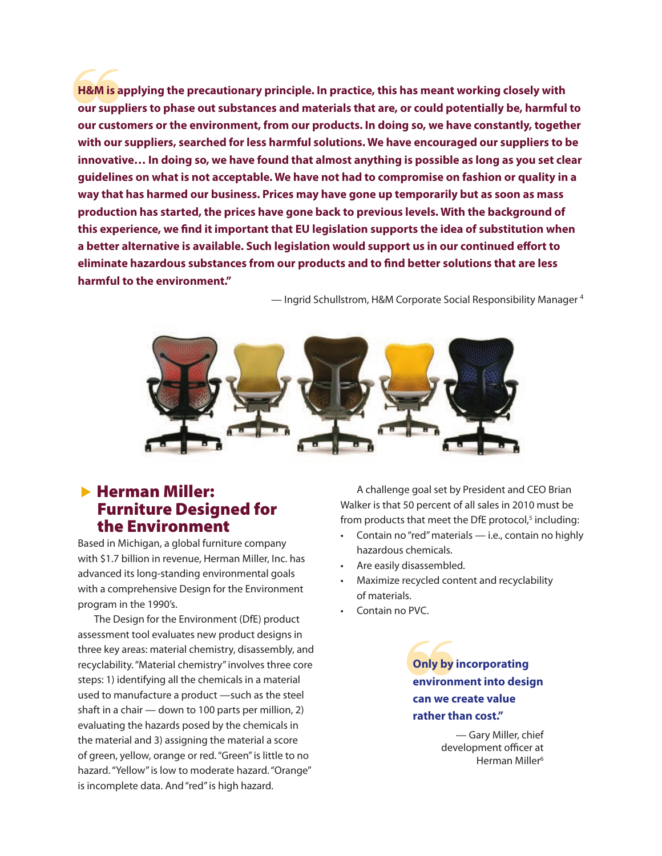H&M is applying the precautionary principle. In practice, this has meant working closely with<br>our suppliers to phase out substances and materials that are, or could potentially be, harmful to<br>our customers or the environme **H&M is applying the precautionary principle. In practice, this has meant working closely with our suppliers to phase out substances and materials that are, or could potentially be, harmful to with our suppliers, searched for less harmful solutions. We have encouraged our suppliers to be innovative… In doing so, we have found that almost anything is possible as long as you set clear guidelines on what is not acceptable. We have not had to compromise on fashion or quality in a way that has harmed our business. Prices may have gone up temporarily but as soon as mass production has started, the prices have gone back to previous levels. With the background of this experience, we find it important that EU legislation supports the idea of substitution when a better alternative is available. Such legislation would support us in our continued effort to eliminate hazardous substances from our products and to find better solutions that are less harmful to the environment."**

— Ingrid Schullstrom, H&M Corporate Social Responsibility Manager 4



#### $\blacktriangleright$  Herman Miller: Furniture Designed for the Environment

Based in Michigan, a global furniture company with \$1.7 billion in revenue, Herman Miller, Inc. has advanced its long-standing environmental goals with a comprehensive Design for the Environment program in the 1990's.

The Design for the Environment (DfE) product assessment tool evaluates new product designs in three key areas: material chemistry, disassembly, and recyclability. "Material chemistry" involves three core steps: 1) identifying all the chemicals in a material used to manufacture a product —such as the steel shaft in a chair — down to 100 parts per million, 2) evaluating the hazards posed by the chemicals in the material and 3) assigning the material a score of green, yellow, orange or red. "Green" is little to no hazard. "Yellow" is low to moderate hazard. "Orange" is incomplete data. And "red" is high hazard.

A challenge goal set by President and CEO Brian Walker is that 50 percent of all sales in 2010 must be from products that meet the DfE protocol,<sup>5</sup> including:

- Contain no "red" materials i.e., contain no highly hazardous chemicals.
- Are easily disassembled.
- Maximize recycled content and recyclability of materials.
- Contain no PVC.

Only by<br>
environi<br>
can we c **Only by incorporating environment into design can we create value rather than cost."** 

> — Gary Miller, chief development officer at Herman Miller<sup>6</sup>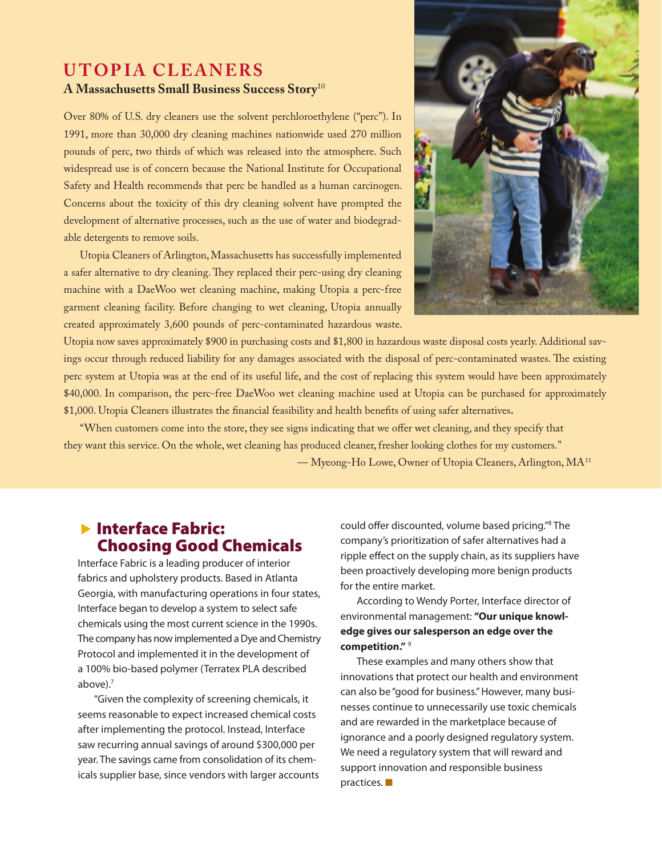#### **UTOPIA CLEANERS A Massachusetts Small Business Success Story**<sup>10</sup>

Over 80% of U.S. dry cleaners use the solvent perchloroethylene ("perc"). In 1991, more than 30,000 dry cleaning machines nationwide used 270 million pounds of perc, two thirds of which was released into the atmosphere. Such widespread use is of concern because the National Institute for Occupational Safety and Health recommends that perc be handled as a human carcinogen. Concerns about the toxicity of this dry cleaning solvent have prompted the development of alternative processes, such as the use of water and biodegradable detergents to remove soils.

Utopia Cleaners of Arlington, Massachusetts has successfully implemented a safer alternative to dry cleaning. They replaced their perc-using dry cleaning machine with a DaeWoo wet cleaning machine, making Utopia a perc-free garment cleaning facility. Before changing to wet cleaning, Utopia annually created approximately 3,600 pounds of perc-contaminated hazardous waste.



Utopia now saves approximately \$900 in purchasing costs and \$1,800 in hazardous waste disposal costs yearly. Additional savings occur through reduced liability for any damages associated with the disposal of perc-contaminated wastes. The existing perc system at Utopia was at the end of its useful life, and the cost of replacing this system would have been approximately \$40,000. In comparison, the perc-free DaeWoo wet cleaning machine used at Utopia can be purchased for approximately \$1,000. Utopia Cleaners illustrates the financial feasibility and health benefits of using safer alternatives**.** 

"When customers come into the store, they see signs indicating that we offer wet cleaning, and they specify that they want this service. On the whole, wet cleaning has produced cleaner, fresher looking clothes for my customers." — Myeong-Ho Lowe, Owner of Utopia Cleaners, Arlington, MA11

#### $\blacktriangleright$  Interface Fabric: Choosing Good Chemicals

Interface Fabric is a leading producer of interior fabrics and upholstery products. Based in Atlanta Georgia, with manufacturing operations in four states, Interface began to develop a system to select safe chemicals using the most current science in the 1990s. The company has now implemented a Dye and Chemistry Protocol and implemented it in the development of a 100% bio-based polymer (Terratex PLA described above).7

"Given the complexity of screening chemicals, it seems reasonable to expect increased chemical costs after implementing the protocol. Instead, Interface saw recurring annual savings of around \$300,000 per year. The savings came from consolidation of its chemicals supplier base, since vendors with larger accounts

could offer discounted, volume based pricing."8 The company's prioritization of safer alternatives had a ripple effect on the supply chain, as its suppliers have been proactively developing more benign products for the entire market.

According to Wendy Porter, Interface director of environmental management: **"Our unique knowledge gives our salesperson an edge over the competition."** <sup>9</sup>

These examples and many others show that innovations that protect our health and environment can also be "good for business." However, many businesses continue to unnecessarily use toxic chemicals and are rewarded in the marketplace because of ignorance and a poorly designed regulatory system. We need a regulatory system that will reward and support innovation and responsible business  $practices.$